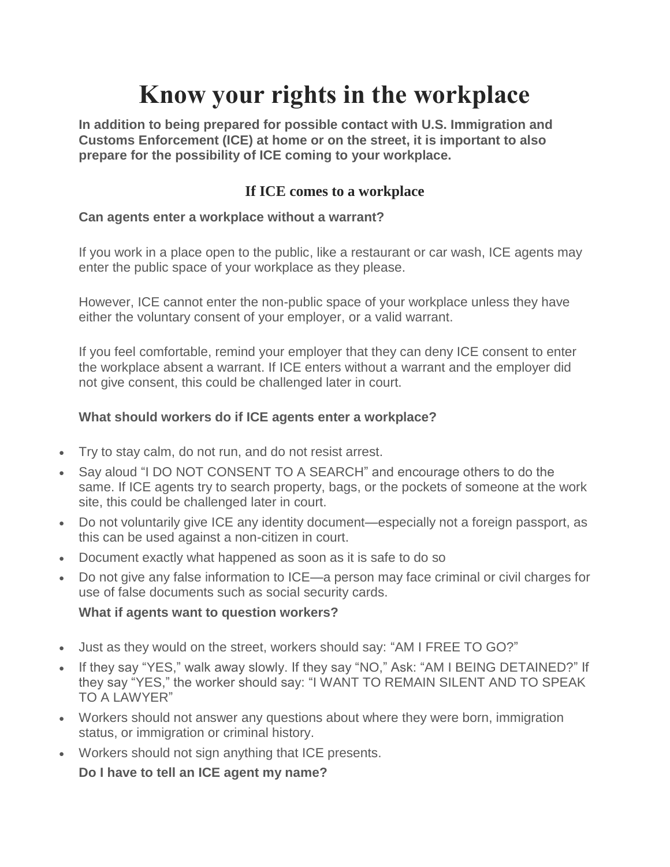# **Know your rights in the workplace**

**In addition to being prepared for possible contact with U.S. Immigration and Customs Enforcement (ICE) at home or on the street, it is important to also prepare for the possibility of ICE coming to your workplace.**

## **If ICE comes to a workplace**

#### **Can agents enter a workplace without a warrant?**

If you work in a place open to the public, like a restaurant or car wash, ICE agents may enter the public space of your workplace as they please.

However, ICE cannot enter the non-public space of your workplace unless they have either the voluntary consent of your employer, or a valid warrant.

If you feel comfortable, remind your employer that they can deny ICE consent to enter the workplace absent a warrant. If ICE enters without a warrant and the employer did not give consent, this could be challenged later in court.

## **What should workers do if ICE agents enter a workplace?**

- Try to stay calm, do not run, and do not resist arrest.
- Say aloud "I DO NOT CONSENT TO A SEARCH" and encourage others to do the same. If ICE agents try to search property, bags, or the pockets of someone at the work site, this could be challenged later in court.
- Do not voluntarily give ICE any identity document—especially not a foreign passport, as this can be used against a non-citizen in court.
- Document exactly what happened as soon as it is safe to do so
- Do not give any false information to ICE—a person may face criminal or civil charges for use of false documents such as social security cards.

## **What if agents want to question workers?**

- Just as they would on the street, workers should say: "AM I FREE TO GO?"
- If they say "YES," walk away slowly. If they say "NO," Ask: "AM I BEING DETAINED?" If they say "YES," the worker should say: "I WANT TO REMAIN SILENT AND TO SPEAK TO A LAWYER"
- Workers should not answer any questions about where they were born, immigration status, or immigration or criminal history.
- Workers should not sign anything that ICE presents.

**Do I have to tell an ICE agent my name?**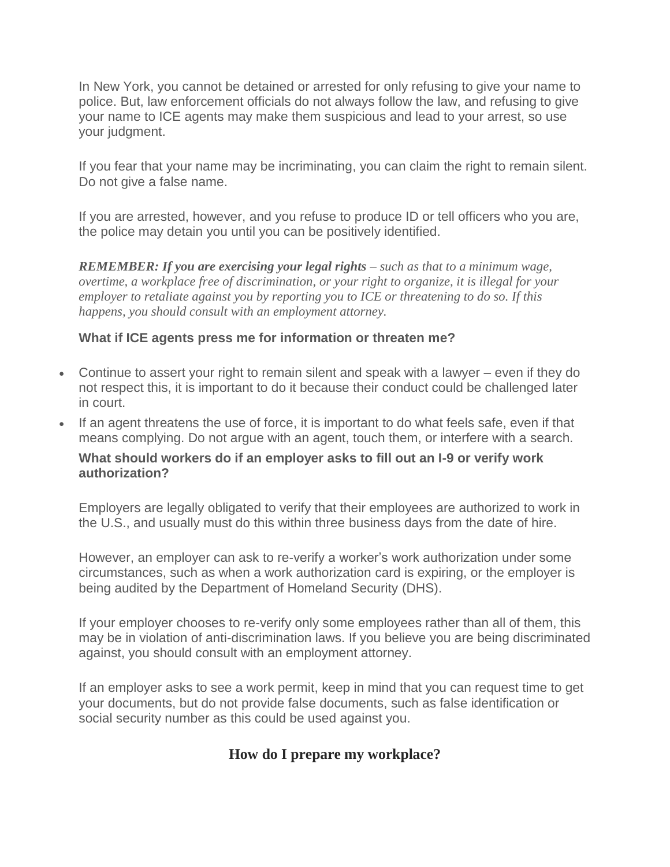In New York, you cannot be detained or arrested for only refusing to give your name to police. But, law enforcement officials do not always follow the law, and refusing to give your name to ICE agents may make them suspicious and lead to your arrest, so use your judgment.

If you fear that your name may be incriminating, you can claim the right to remain silent. Do not give a false name.

If you are arrested, however, and you refuse to produce ID or tell officers who you are, the police may detain you until you can be positively identified.

*REMEMBER: If you are exercising your legal rights – such as that to a minimum wage, overtime, a workplace free of discrimination, or your right to organize, it is illegal for your employer to retaliate against you by reporting you to ICE or threatening to do so. If this happens, you should consult with an employment attorney.*

#### **What if ICE agents press me for information or threaten me?**

- Continue to assert your right to remain silent and speak with a lawyer even if they do not respect this, it is important to do it because their conduct could be challenged later in court.
- If an agent threatens the use of force, it is important to do what feels safe, even if that means complying. Do not argue with an agent, touch them, or interfere with a search.

#### **What should workers do if an employer asks to fill out an I-9 or verify work authorization?**

Employers are legally obligated to verify that their employees are authorized to work in the U.S., and usually must do this within three business days from the date of hire.

However, an employer can ask to re-verify a worker's work authorization under some circumstances, such as when a work authorization card is expiring, or the employer is being audited by the Department of Homeland Security (DHS).

If your employer chooses to re-verify only some employees rather than all of them, this may be in violation of anti-discrimination laws. If you believe you are being discriminated against, you should consult with an employment attorney.

If an employer asks to see a work permit, keep in mind that you can request time to get your documents, but do not provide false documents, such as false identification or social security number as this could be used against you.

## **How do I prepare my workplace?**